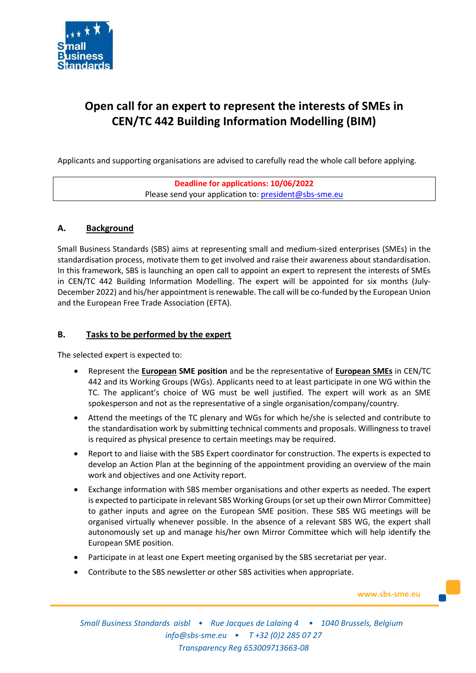

# **Open call for an expert to represent the interests of SMEs in CEN/TC 442 Building Information Modelling (BIM)**

Applicants and supporting organisations are advised to carefully read the whole call before applying.

| Deadline for applications: 10/06/2022                 |  |
|-------------------------------------------------------|--|
| Please send your application to: president@sbs-sme.eu |  |

# **A. Background**

Small Business Standards (SBS) aims at representing small and medium-sized enterprises (SMEs) in the standardisation process, motivate them to get involved and raise their awareness about standardisation. In this framework, SBS is launching an open call to appoint an expert to represent the interests of SMEs in CEN/TC 442 Building Information Modelling. The expert will be appointed for six months (July-December 2022) and his/her appointment is renewable. The call will be co-funded by the European Union and the European Free Trade Association (EFTA).

# **B. Tasks to be performed by the expert**

The selected expert is expected to:

- Represent the **European SME position** and be the representative of **European SMEs** in CEN/TC 442 and its Working Groups (WGs). Applicants need to at least participate in one WG within the TC. The applicant's choice of WG must be well justified. The expert will work as an SME spokesperson and not as the representative of a single organisation/company/country.
- Attend the meetings of the TC plenary and WGs for which he/she is selected and contribute to the standardisation work by submitting technical comments and proposals. Willingness to travel is required as physical presence to certain meetings may be required.
- Report to and liaise with the SBS Expert coordinator for construction. The experts is expected to develop an Action Plan at the beginning of the appointment providing an overview of the main work and objectives and one Activity report.
- Exchange information with SBS member organisations and other experts as needed. The expert is expected to participate in relevant SBS Working Groups (or set up their own Mirror Committee) to gather inputs and agree on the European SME position. These SBS WG meetings will be organised virtually whenever possible. In the absence of a relevant SBS WG, the expert shall autonomously set up and manage his/her own Mirror Committee which will help identify the European SME position.
- Participate in at least one Expert meeting organised by the SBS secretariat per year.
- Contribute to the SBS newsletter or other SBS activities when appropriate.

**www.sbs-sme.eu**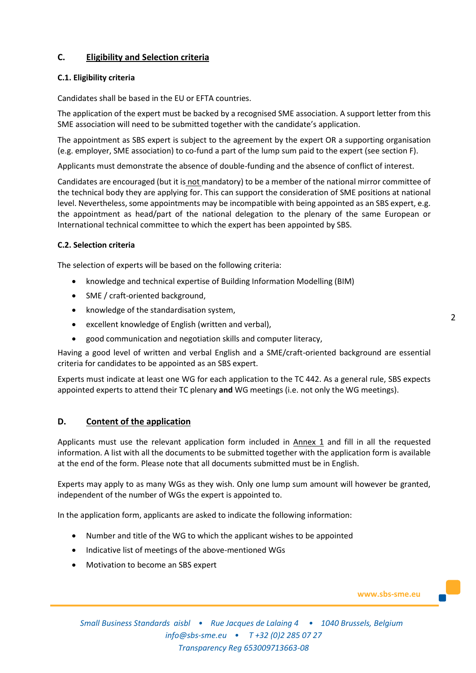# **C. Eligibility and Selection criteria**

## **C.1. Eligibility criteria**

Candidates shall be based in the EU or EFTA countries.

The application of the expert must be backed by a recognised SME association. A support letter from this SME association will need to be submitted together with the candidate's application.

The appointment as SBS expert is subject to the agreement by the expert OR a supporting organisation (e.g. employer, SME association) to co-fund a part of the lump sum paid to the expert (see section F).

Applicants must demonstrate the absence of double-funding and the absence of conflict of interest.

Candidates are encouraged (but it is not mandatory) to be a member of the national mirror committee of the technical body they are applying for. This can support the consideration of SME positions at national level. Nevertheless, some appointments may be incompatible with being appointed as an SBS expert, e.g. the appointment as head/part of the national delegation to the plenary of the same European or International technical committee to which the expert has been appointed by SBS.

## **C.2. Selection criteria**

The selection of experts will be based on the following criteria:

- knowledge and technical expertise of Building Information Modelling (BIM)
- SME / craft-oriented background,
- knowledge of the standardisation system,
- excellent knowledge of English (written and verbal),
- good communication and negotiation skills and computer literacy,

Having a good level of written and verbal English and a SME/craft-oriented background are essential criteria for candidates to be appointed as an SBS expert.

Experts must indicate at least one WG for each application to the TC 442. As a general rule, SBS expects appointed experts to attend their TC plenary **and** WG meetings (i.e. not only the WG meetings).

## **D. Content of the application**

Applicants must use the relevant application form included in Annex 1 and fill in all the requested information. A list with all the documents to be submitted together with the application form is available at the end of the form. Please note that all documents submitted must be in English.

Experts may apply to as many WGs as they wish. Only one lump sum amount will however be granted, independent of the number of WGs the expert is appointed to.

In the application form, applicants are asked to indicate the following information:

- Number and title of the WG to which the applicant wishes to be appointed
- Indicative list of meetings of the above-mentioned WGs
- Motivation to become an SBS expert

**www.sbs-sme.eu**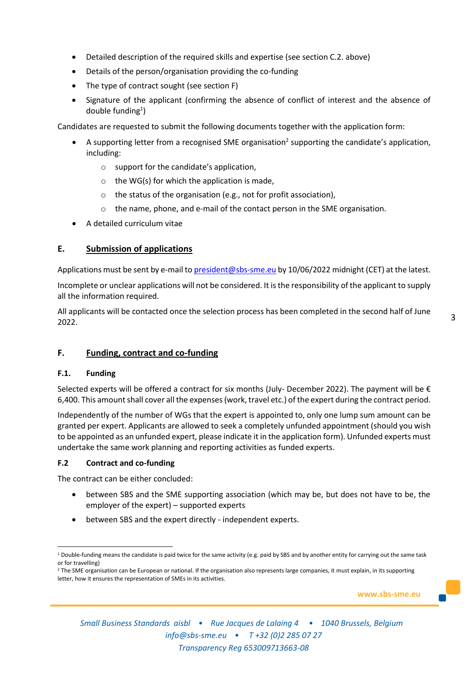- Detailed description of the required skills and expertise (see section C.2. above)
- Details of the person/organisation providing the co-funding
- The type of contract sought (see section F)
- Signature of the applicant (confirming the absence of conflict of interest and the absence of double funding<sup>1</sup>)

Candidates are requested to submit the following documents together with the application form:

- $\bullet$  A supporting letter from a recognised SME organisation<sup>2</sup> supporting the candidate's application, including:
	- o support for the candidate's application,
	- $\circ$  the WG(s) for which the application is made,
	- o the status of the organisation (e.g., not for profit association),
	- $\circ$  the name, phone, and e-mail of the contact person in the SME organisation.
- A detailed curriculum vitae

## **E. Submission of applications**

Applications must be sent by e-mail t[o president@sbs-sme.eu](mailto:president@sbs-sme.eu) by 10/06/2022 midnight (CET) at the latest.

Incomplete or unclear applications will not be considered. It is the responsibility of the applicant to supply all the information required.

All applicants will be contacted once the selection process has been completed in the second half of June 2022.

## **F. Funding, contract and co-funding**

#### **F.1. Funding**

Selected experts will be offered a contract for six months (July- December 2022). The payment will be  $\epsilon$ 6,400. This amount shall cover all the expenses (work, travel etc.) of the expert during the contract period.

Independently of the number of WGs that the expert is appointed to, only one lump sum amount can be granted per expert. Applicants are allowed to seek a completely unfunded appointment (should you wish to be appointed as an unfunded expert, please indicate it in the application form). Unfunded experts must undertake the same work planning and reporting activities as funded experts.

#### **F.2 Contract and co-funding**

The contract can be either concluded:

- between SBS and the SME supporting association (which may be, but does not have to be, the employer of the expert) – supported experts
- between SBS and the expert directly independent experts.

**www.sbs-sme.eu**

 $1$  Double-funding means the candidate is paid twice for the same activity (e.g. paid by SBS and by another entity for carrying out the same task or for travelling)

<sup>&</sup>lt;sup>2</sup> The SME organisation can be European or national. If the organisation also represents large companies, it must explain, in its supporting letter, how it ensures the representation of SMEs in its activities.